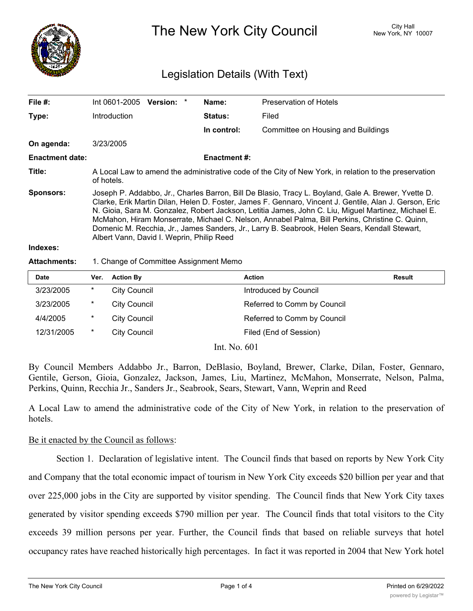

The New York City Council New York, NY 10007

# Legislation Details (With Text)

| File #:                | Int 0601-2005                                                                                                                                                                                                                                                                                                                                                                                                                                                                                                                                                        | Version: * |  | Name:               | Preservation of Hotels             |  |  |
|------------------------|----------------------------------------------------------------------------------------------------------------------------------------------------------------------------------------------------------------------------------------------------------------------------------------------------------------------------------------------------------------------------------------------------------------------------------------------------------------------------------------------------------------------------------------------------------------------|------------|--|---------------------|------------------------------------|--|--|
| Type:                  | <b>Introduction</b>                                                                                                                                                                                                                                                                                                                                                                                                                                                                                                                                                  |            |  | <b>Status:</b>      | Filed                              |  |  |
|                        |                                                                                                                                                                                                                                                                                                                                                                                                                                                                                                                                                                      |            |  | In control:         | Committee on Housing and Buildings |  |  |
| On agenda:             | 3/23/2005                                                                                                                                                                                                                                                                                                                                                                                                                                                                                                                                                            |            |  |                     |                                    |  |  |
| <b>Enactment date:</b> |                                                                                                                                                                                                                                                                                                                                                                                                                                                                                                                                                                      |            |  | <b>Enactment #:</b> |                                    |  |  |
| Title:                 | A Local Law to amend the administrative code of the City of New York, in relation to the preservation<br>of hotels.                                                                                                                                                                                                                                                                                                                                                                                                                                                  |            |  |                     |                                    |  |  |
| Sponsors:              | Joseph P. Addabbo, Jr., Charles Barron, Bill De Blasio, Tracy L. Boyland, Gale A. Brewer, Yvette D.<br>Clarke, Erik Martin Dilan, Helen D. Foster, James F. Gennaro, Vincent J. Gentile, Alan J. Gerson, Eric<br>N. Gioia, Sara M. Gonzalez, Robert Jackson, Letitia James, John C. Liu, Miguel Martinez, Michael E.<br>McMahon, Hiram Monserrate, Michael C. Nelson, Annabel Palma, Bill Perkins, Christine C. Quinn,<br>Domenic M. Recchia, Jr., James Sanders, Jr., Larry B. Seabrook, Helen Sears, Kendall Stewart,<br>Albert Vann, David I. Weprin, Philip Reed |            |  |                     |                                    |  |  |
| Indexes:               |                                                                                                                                                                                                                                                                                                                                                                                                                                                                                                                                                                      |            |  |                     |                                    |  |  |

#### **Attachments:** 1. Change of Committee Assignment Memo

| <b>Date</b> | Ver.    | <b>Action By</b>    | <b>Action</b>               | <b>Result</b> |
|-------------|---------|---------------------|-----------------------------|---------------|
| 3/23/2005   | $\ast$  | <b>City Council</b> | Introduced by Council       |               |
| 3/23/2005   | $\star$ | <b>City Council</b> | Referred to Comm by Council |               |
| 4/4/2005    | $\star$ | <b>City Council</b> | Referred to Comm by Council |               |
| 12/31/2005  | $\ast$  | <b>City Council</b> | Filed (End of Session)      |               |

Int. No. 601

By Council Members Addabbo Jr., Barron, DeBlasio, Boyland, Brewer, Clarke, Dilan, Foster, Gennaro, Gentile, Gerson, Gioia, Gonzalez, Jackson, James, Liu, Martinez, McMahon, Monserrate, Nelson, Palma, Perkins, Quinn, Recchia Jr., Sanders Jr., Seabrook, Sears, Stewart, Vann, Weprin and Reed

A Local Law to amend the administrative code of the City of New York, in relation to the preservation of hotels.

# Be it enacted by the Council as follows:

Section 1. Declaration of legislative intent. The Council finds that based on reports by New York City and Company that the total economic impact of tourism in New York City exceeds \$20 billion per year and that over 225,000 jobs in the City are supported by visitor spending. The Council finds that New York City taxes generated by visitor spending exceeds \$790 million per year. The Council finds that total visitors to the City exceeds 39 million persons per year. Further, the Council finds that based on reliable surveys that hotel occupancy rates have reached historically high percentages. In fact it was reported in 2004 that New York hotel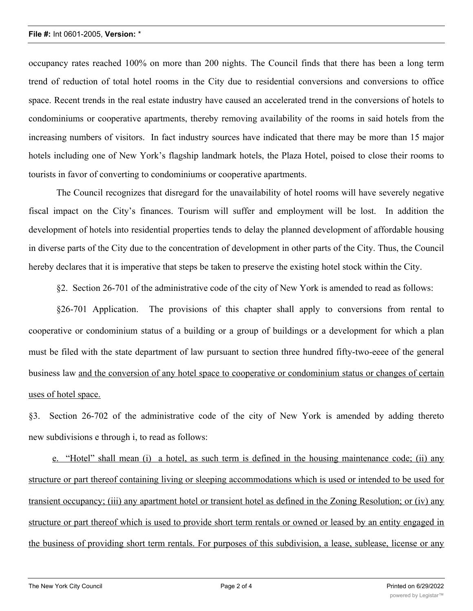occupancy rates reached 100% on more than 200 nights. The Council finds that there has been a long term trend of reduction of total hotel rooms in the City due to residential conversions and conversions to office space. Recent trends in the real estate industry have caused an accelerated trend in the conversions of hotels to condominiums or cooperative apartments, thereby removing availability of the rooms in said hotels from the increasing numbers of visitors. In fact industry sources have indicated that there may be more than 15 major hotels including one of New York's flagship landmark hotels, the Plaza Hotel, poised to close their rooms to tourists in favor of converting to condominiums or cooperative apartments.

The Council recognizes that disregard for the unavailability of hotel rooms will have severely negative fiscal impact on the City's finances. Tourism will suffer and employment will be lost. In addition the development of hotels into residential properties tends to delay the planned development of affordable housing in diverse parts of the City due to the concentration of development in other parts of the City. Thus, the Council hereby declares that it is imperative that steps be taken to preserve the existing hotel stock within the City.

§2. Section 26-701 of the administrative code of the city of New York is amended to read as follows:

§26-701 Application. The provisions of this chapter shall apply to conversions from rental to cooperative or condominium status of a building or a group of buildings or a development for which a plan must be filed with the state department of law pursuant to section three hundred fifty-two-eeee of the general business law and the conversion of any hotel space to cooperative or condominium status or changes of certain uses of hotel space.

§3. Section 26-702 of the administrative code of the city of New York is amended by adding thereto new subdivisions e through i, to read as follows:

e. "Hotel" shall mean (i) a hotel, as such term is defined in the housing maintenance code; (ii) any structure or part thereof containing living or sleeping accommodations which is used or intended to be used for transient occupancy; (iii) any apartment hotel or transient hotel as defined in the Zoning Resolution; or (iv) any structure or part thereof which is used to provide short term rentals or owned or leased by an entity engaged in the business of providing short term rentals. For purposes of this subdivision, a lease, sublease, license or any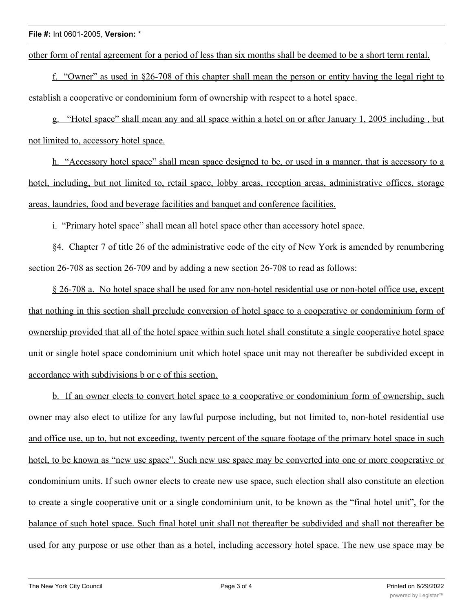## **File #:** Int 0601-2005, **Version:** \*

other form of rental agreement for a period of less than six months shall be deemed to be a short term rental.

f. "Owner" as used in §26-708 of this chapter shall mean the person or entity having the legal right to establish a cooperative or condominium form of ownership with respect to a hotel space.

g. "Hotel space" shall mean any and all space within a hotel on or after January 1, 2005 including , but not limited to, accessory hotel space.

h. "Accessory hotel space" shall mean space designed to be, or used in a manner, that is accessory to a hotel, including, but not limited to, retail space, lobby areas, reception areas, administrative offices, storage areas, laundries, food and beverage facilities and banquet and conference facilities.

i. "Primary hotel space" shall mean all hotel space other than accessory hotel space.

§4. Chapter 7 of title 26 of the administrative code of the city of New York is amended by renumbering section 26-708 as section 26-709 and by adding a new section 26-708 to read as follows:

§ 26-708 a. No hotel space shall be used for any non-hotel residential use or non-hotel office use, except that nothing in this section shall preclude conversion of hotel space to a cooperative or condominium form of ownership provided that all of the hotel space within such hotel shall constitute a single cooperative hotel space unit or single hotel space condominium unit which hotel space unit may not thereafter be subdivided except in accordance with subdivisions b or c of this section.

b. If an owner elects to convert hotel space to a cooperative or condominium form of ownership, such owner may also elect to utilize for any lawful purpose including, but not limited to, non-hotel residential use and office use, up to, but not exceeding, twenty percent of the square footage of the primary hotel space in such hotel, to be known as "new use space". Such new use space may be converted into one or more cooperative or condominium units. If such owner elects to create new use space, such election shall also constitute an election to create a single cooperative unit or a single condominium unit, to be known as the "final hotel unit", for the balance of such hotel space. Such final hotel unit shall not thereafter be subdivided and shall not thereafter be used for any purpose or use other than as a hotel, including accessory hotel space. The new use space may be